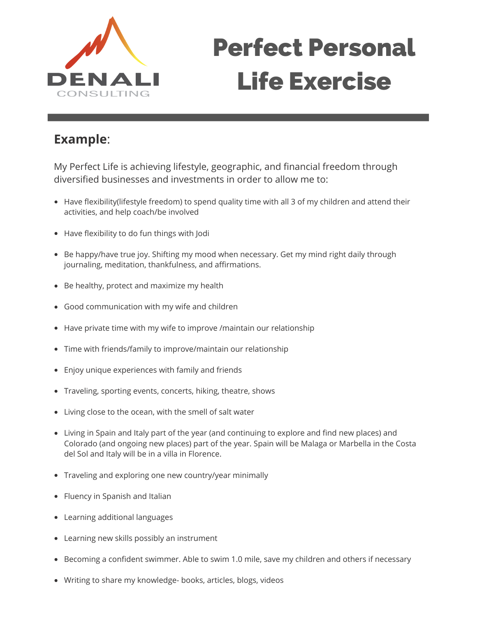

## Perfect Personal Life Exercise

## **Example**:

My Perfect Life is achieving lifestyle, geographic, and financial freedom through diversified businesses and investments in order to allow me to:

- Have flexibility(lifestyle freedom) to spend quality time with all 3 of my children and attend their activities, and help coach/be involved
- Have flexibility to do fun things with Jodi
- Be happy/have true joy. Shifting my mood when necessary. Get my mind right daily through journaling, meditation, thankfulness, and affirmations.
- Be healthy, protect and maximize my health
- Good communication with my wife and children
- Have private time with my wife to improve /maintain our relationship
- Time with friends/family to improve/maintain our relationship
- Enjoy unique experiences with family and friends
- Traveling, sporting events, concerts, hiking, theatre, shows
- Living close to the ocean, with the smell of salt water
- Living in Spain and Italy part of the year (and continuing to explore and find new places) and Colorado (and ongoing new places) part of the year. Spain will be Malaga or Marbella in the Costa del Sol and Italy will be in a villa in Florence.
- Traveling and exploring one new country/year minimally
- Fluency in Spanish and Italian
- Learning additional languages
- Learning new skills possibly an instrument  $\bullet$
- Becoming a confident swimmer. Able to swim 1.0 mile, save my children and others if necessary
- Writing to share my knowledge- books, articles, blogs, videos